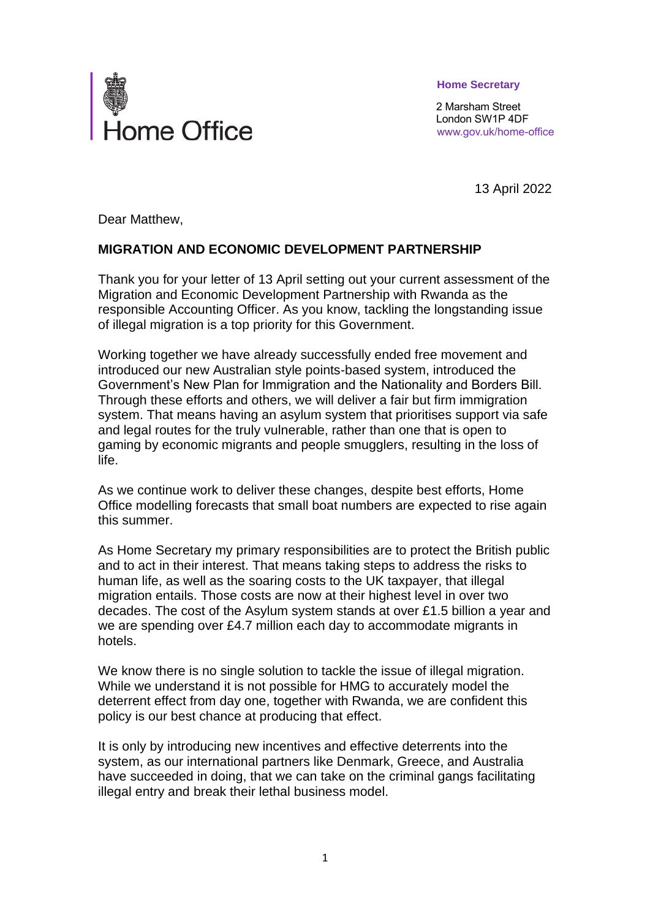

 **Home Secretary**

 2 Marsham Street London SW1P 4DF www.gov.uk/home-office

13 April 2022

Dear Matthew,

## **MIGRATION AND ECONOMIC DEVELOPMENT PARTNERSHIP**

Thank you for your letter of 13 April setting out your current assessment of the Migration and Economic Development Partnership with Rwanda as the responsible Accounting Officer. As you know, tackling the longstanding issue of illegal migration is a top priority for this Government.

Working together we have already successfully ended free movement and introduced our new Australian style points-based system, introduced the Government's New Plan for Immigration and the Nationality and Borders Bill. Through these efforts and others, we will deliver a fair but firm immigration system. That means having an asylum system that prioritises support via safe and legal routes for the truly vulnerable, rather than one that is open to gaming by economic migrants and people smugglers, resulting in the loss of life.

As we continue work to deliver these changes, despite best efforts, Home Office modelling forecasts that small boat numbers are expected to rise again this summer.

As Home Secretary my primary responsibilities are to protect the British public and to act in their interest. That means taking steps to address the risks to human life, as well as the soaring costs to the UK taxpayer, that illegal migration entails. Those costs are now at their highest level in over two decades. The cost of the Asylum system stands at over £1.5 billion a year and we are spending over £4.7 million each day to accommodate migrants in hotels.

We know there is no single solution to tackle the issue of illegal migration. While we understand it is not possible for HMG to accurately model the deterrent effect from day one, together with Rwanda, we are confident this policy is our best chance at producing that effect.

It is only by introducing new incentives and effective deterrents into the system, as our international partners like Denmark, Greece, and Australia have succeeded in doing, that we can take on the criminal gangs facilitating illegal entry and break their lethal business model.